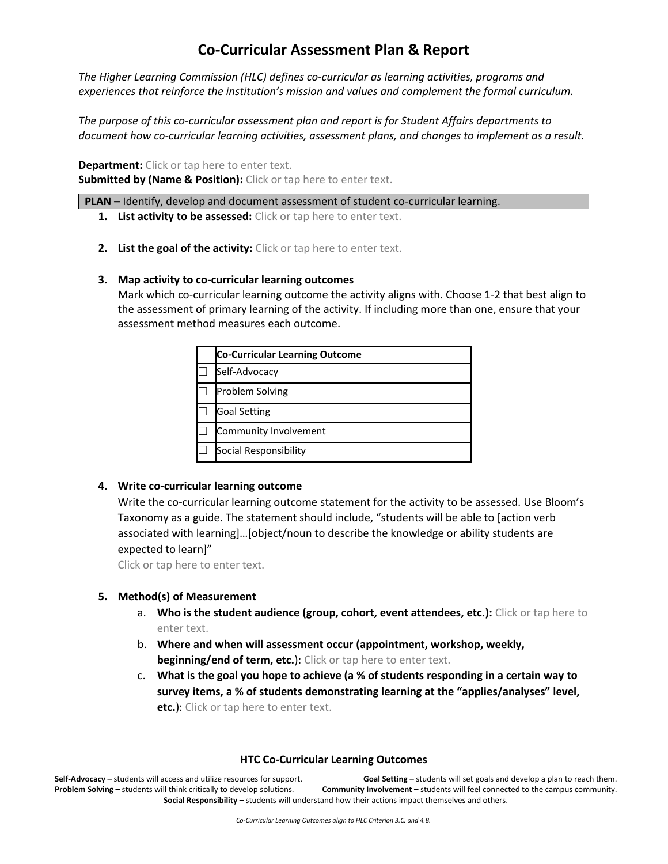# **Co-Curricular Assessment Plan & Report**

*The Higher Learning Commission (HLC) defines co-curricular as learning activities, programs and experiences that reinforce the institution's mission and values and complement the formal curriculum.*

*The purpose of this co-curricular assessment plan and report is for Student Affairs departments to document how co-curricular learning activities, assessment plans, and changes to implement as a result.* 

**Department:** Click or tap here to enter text.

**Submitted by (Name & Position):** Click or tap here to enter text.

**PLAN –** Identify, develop and document assessment of student co-curricular learning.

- **1. List activity to be assessed:** Click or tap here to enter text.
- **2. List the goal of the activity:** Click or tap here to enter text.

### **3. Map activity to co-curricular learning outcomes**

Mark which co-curricular learning outcome the activity aligns with. Choose 1-2 that best align to the assessment of primary learning of the activity. If including more than one, ensure that your assessment method measures each outcome.

| <b>Co-Curricular Learning Outcome</b> |
|---------------------------------------|
| Self-Advocacy                         |
| <b>Problem Solving</b>                |
| <b>Goal Setting</b>                   |
| Community Involvement                 |
| Social Responsibility                 |

# **4. Write co-curricular learning outcome**

Write the co-curricular learning outcome statement for the activity to be assessed. Use Bloom's Taxonomy as a guide. The statement should include, "students will be able to [action verb associated with learning]…[object/noun to describe the knowledge or ability students are expected to learn]"

Click or tap here to enter text.

# **5. Method(s) of Measurement**

- a. **Who is the student audience (group, cohort, event attendees, etc.):** Click or tap here to enter text.
- b. **Where and when will assessment occur (appointment, workshop, weekly, beginning/end of term, etc.**): Click or tap here to enter text.
- c. **What is the goal you hope to achieve (a % of students responding in a certain way to survey items, a % of students demonstrating learning at the "applies/analyses" level, etc.**): Click or tap here to enter text.

# **HTC Co-Curricular Learning Outcomes**

**Self-Advocacy –** students will access and utilize resources for support. **Goal Setting –** students will set goals and develop a plan to reach them. **Problem Solving –** students will think critically to develop solutions. **Community Involvement –** students will feel connected to the campus community. **Social Responsibility –** students will understand how their actions impact themselves and others.